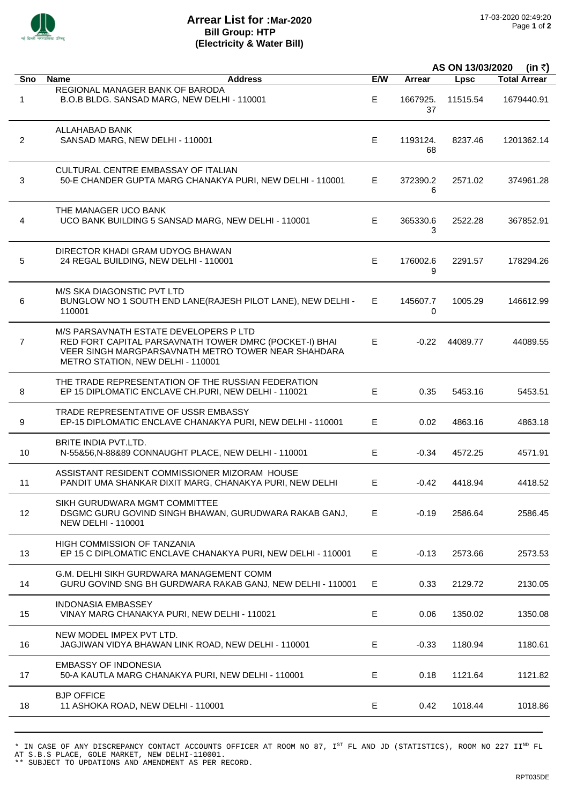

## **Arrear List for :Mar-2020 Bill Group: HTP (Electricity & Water Bill)**

|                |                                                                                                                                                                                              |     | AS ON 13/03/2020<br>(in ₹) |             |                     |
|----------------|----------------------------------------------------------------------------------------------------------------------------------------------------------------------------------------------|-----|----------------------------|-------------|---------------------|
| Sno            | <b>Name</b><br><b>Address</b>                                                                                                                                                                | E/W | Arrear                     | <b>Lpsc</b> | <b>Total Arrear</b> |
| 1              | <b>REGIONAL MANAGER BANK OF BARODA</b><br>B.O.B BLDG. SANSAD MARG, NEW DELHI - 110001                                                                                                        | E   | 1667925.<br>37             | 11515.54    | 1679440.91          |
| $\overline{2}$ | ALLAHABAD BANK<br>SANSAD MARG, NEW DELHI - 110001                                                                                                                                            | E.  | 1193124.<br>68             | 8237.46     | 1201362.14          |
| 3              | CULTURAL CENTRE EMBASSAY OF ITALIAN<br>50-E CHANDER GUPTA MARG CHANAKYA PURI, NEW DELHI - 110001                                                                                             | E.  | 372390.2<br>6              | 2571.02     | 374961.28           |
| 4              | THE MANAGER UCO BANK<br>UCO BANK BUILDING 5 SANSAD MARG, NEW DELHI - 110001                                                                                                                  | E.  | 365330.6<br>3              | 2522.28     | 367852.91           |
| 5              | DIRECTOR KHADI GRAM UDYOG BHAWAN<br>24 REGAL BUILDING, NEW DELHI - 110001                                                                                                                    | E.  | 176002.6<br>9              | 2291.57     | 178294.26           |
| 6              | M/S SKA DIAGONSTIC PVT LTD<br>BUNGLOW NO 1 SOUTH END LANE(RAJESH PILOT LANE), NEW DELHI -<br>110001                                                                                          | E.  | 145607.7<br>0              | 1005.29     | 146612.99           |
| $\overline{7}$ | M/S PARSAVNATH ESTATE DEVELOPERS P LTD<br>RED FORT CAPITAL PARSAVNATH TOWER DMRC (POCKET-I) BHAI<br>VEER SINGH MARGPARSAVNATH METRO TOWER NEAR SHAHDARA<br>METRO STATION, NEW DELHI - 110001 | E   | $-0.22$                    | 44089.77    | 44089.55            |
| 8              | THE TRADE REPRESENTATION OF THE RUSSIAN FEDERATION<br>EP 15 DIPLOMATIC ENCLAVE CH.PURI, NEW DELHI - 110021                                                                                   | E   | 0.35                       | 5453.16     | 5453.51             |
| 9              | TRADE REPRESENTATIVE OF USSR EMBASSY<br>EP-15 DIPLOMATIC ENCLAVE CHANAKYA PURI, NEW DELHI - 110001                                                                                           | E.  | 0.02                       | 4863.16     | 4863.18             |
| 10             | BRITE INDIA PVT.LTD.<br>N-55&56,N-88&89 CONNAUGHT PLACE, NEW DELHI - 110001                                                                                                                  | E.  | $-0.34$                    | 4572.25     | 4571.91             |
| 11             | ASSISTANT RESIDENT COMMISSIONER MIZORAM HOUSE<br>PANDIT UMA SHANKAR DIXIT MARG, CHANAKYA PURI, NEW DELHI                                                                                     | E   | $-0.42$                    | 4418.94     | 4418.52             |
| 12             | SIKH GURUDWARA MGMT COMMITTEE<br>DSGMC GURU GOVIND SINGH BHAWAN, GURUDWARA RAKAB GANJ,<br><b>NEW DELHI - 110001</b>                                                                          | E.  | $-0.19$                    | 2586.64     | 2586.45             |
| 13             | <b>HIGH COMMISSION OF TANZANIA</b><br>EP 15 C DIPLOMATIC ENCLAVE CHANAKYA PURI, NEW DELHI - 110001                                                                                           | E.  | $-0.13$                    | 2573.66     | 2573.53             |
| 14             | G.M. DELHI SIKH GURDWARA MANAGEMENT COMM<br>GURU GOVIND SNG BH GURDWARA RAKAB GANJ, NEW DELHI - 110001                                                                                       | Е   | 0.33                       | 2129.72     | 2130.05             |
| 15             | <b>INDONASIA EMBASSEY</b><br>VINAY MARG CHANAKYA PURI, NEW DELHI - 110021                                                                                                                    | E.  | 0.06                       | 1350.02     | 1350.08             |
| 16             | NEW MODEL IMPEX PVT LTD.<br>JAGJIWAN VIDYA BHAWAN LINK ROAD, NEW DELHI - 110001                                                                                                              | Е   | $-0.33$                    | 1180.94     | 1180.61             |
| 17             | <b>EMBASSY OF INDONESIA</b><br>50-A KAUTLA MARG CHANAKYA PURI, NEW DELHI - 110001                                                                                                            | Е   | 0.18                       | 1121.64     | 1121.82             |
| 18             | <b>BJP OFFICE</b><br>11 ASHOKA ROAD, NEW DELHI - 110001                                                                                                                                      | E   | 0.42                       | 1018.44     | 1018.86             |

\* IN CASE OF ANY DISCREPANCY CONTACT ACCOUNTS OFFICER AT ROOM NO 87, IST FL AND JD (STATISTICS), ROOM NO 227 IIND FL AT S.B.S PLACE, GOLE MARKET, NEW DELHI-110001.

<sup>\*\*</sup> SUBJECT TO UPDATIONS AND AMENDMENT AS PER RECORD.